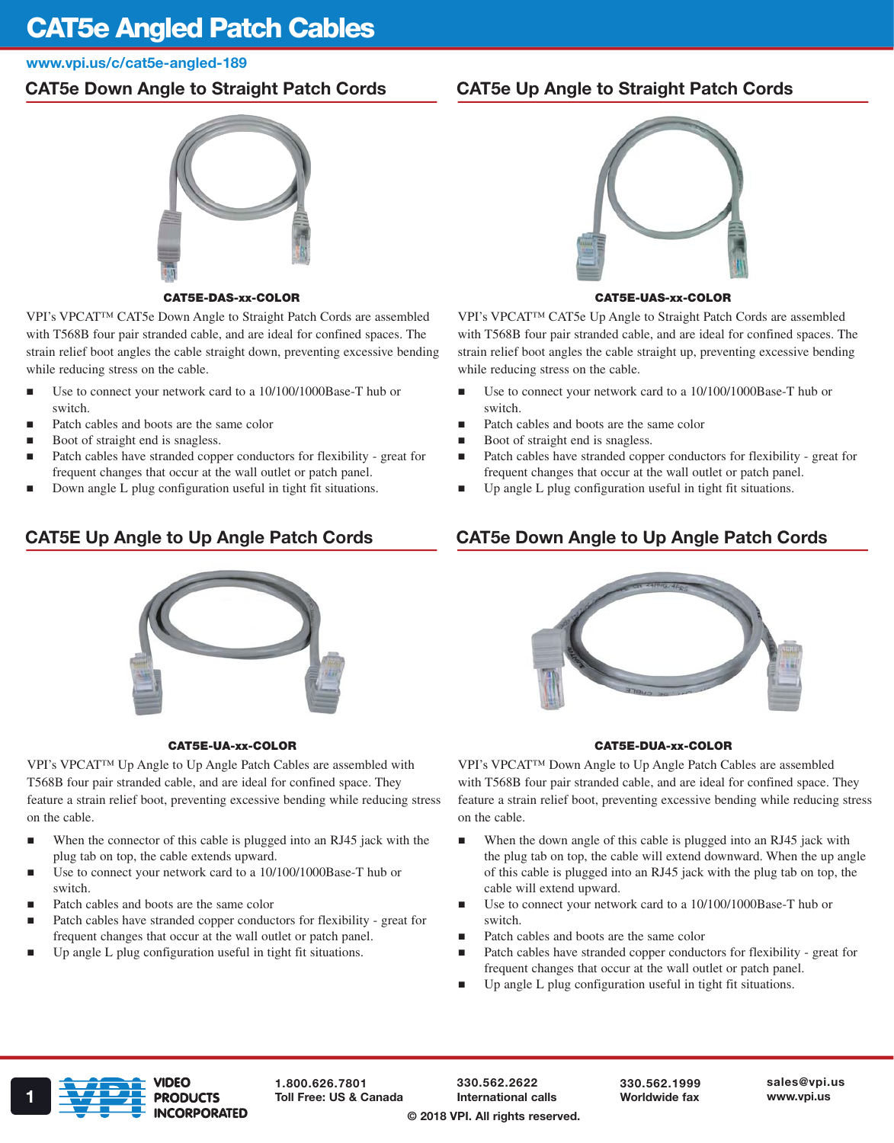# CAT5e Angled Patch Cables

www.vpi.us/c/cat5e-angled-189

## CAT5e Down Angle to Straight Patch Cords

## CAT5E-DAS-xx-COLOR

VPI's VPCAT™ CAT5e Down Angle to Straight Patch Cords are assembled with T568B four pair stranded cable, and are ideal for confined spaces. The strain relief boot angles the cable straight down, preventing excessive bending while reducing stress on the cable.

- Use to connect your network card to a 10/100/1000Base-T hub or switch.
- Patch cables and boots are the same color
- Boot of straight end is snagless.
- Patch cables have stranded copper conductors for flexibility great for frequent changes that occur at the wall outlet or patch panel.
- Down angle L plug configuration useful in tight fit situations.

# CAT5E Up Angle to Up Angle Patch Cords



## CAT5E-UA-xx-COLOR

VPI's VPCAT™ Up Angle to Up Angle Patch Cables are assembled with T568B four pair stranded cable, and are ideal for confined space. They feature a strain relief boot, preventing excessive bending while reducing stress on the cable.

- When the connector of this cable is plugged into an RJ45 jack with the plug tab on top, the cable extends upward.
- Use to connect your network card to a 10/100/1000Base-T hub or switch.
- Patch cables and boots are the same color
- Patch cables have stranded copper conductors for flexibility great for frequent changes that occur at the wall outlet or patch panel.
- Up angle L plug configuration useful in tight fit situations.

# CAT5e Up Angle to Straight Patch Cords



## CAT5E-UAS-xx-COLOR

VPI's VPCAT™ CAT5e Up Angle to Straight Patch Cords are assembled with T568B four pair stranded cable, and are ideal for confined spaces. The strain relief boot angles the cable straight up, preventing excessive bending while reducing stress on the cable.

- Use to connect your network card to a 10/100/1000Base-T hub or switch.
- Patch cables and boots are the same color
- Boot of straight end is snagless.
- Patch cables have stranded copper conductors for flexibility great for frequent changes that occur at the wall outlet or patch panel.
- Up angle L plug configuration useful in tight fit situations.

# CAT5e Down Angle to Up Angle Patch Cords



## CAT5E-DUA-xx-COLOR

VPI's VPCAT™ Down Angle to Up Angle Patch Cables are assembled with T568B four pair stranded cable, and are ideal for confined space. They feature a strain relief boot, preventing excessive bending while reducing stress on the cable.

- When the down angle of this cable is plugged into an RJ45 jack with the plug tab on top, the cable will extend downward. When the up angle of this cable is plugged into an RJ45 jack with the plug tab on top, the cable will extend upward.
- Use to connect your network card to a 10/100/1000Base-T hub or switch.
- Patch cables and boots are the same color
- Patch cables have stranded copper conductors for flexibility great for frequent changes that occur at the wall outlet or patch panel.
- Up angle L plug configuration useful in tight fit situations.



1.800.626.7801

330.562.2622 International calls

330.562.1999 Worldwide fax

sales@vpi.us

© 2018 VPI. All rights reserved.